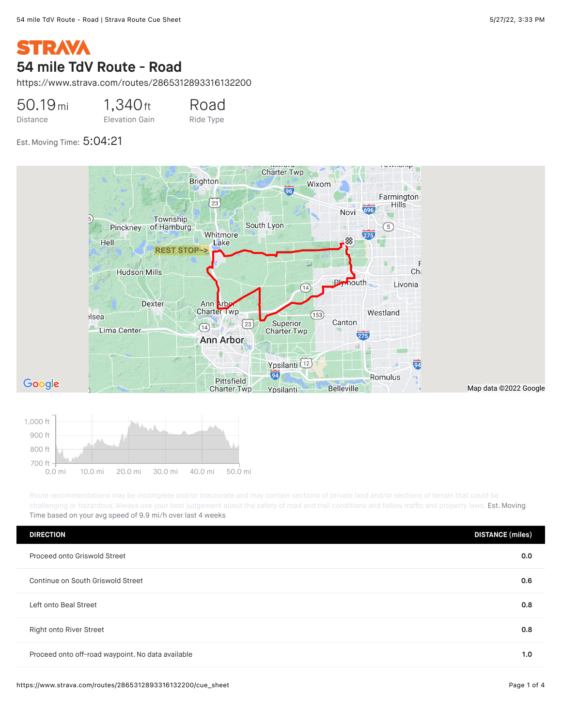## **STRAVA** 54 mile TdV Route - Road

https://www.strava.com/routes/2865312893316132200

50.19mi Distance 1,340ft Elevation Gain Road Ride Type

Est. Moving Time: 5:04:21





challenging or hazardous. Always use your best judgement about the safety of road and trail conditions and follow traffic and property laws. Est. Moving Time based on your avg speed of 9.9 mi/h over last 4 weeks

| <b>DIRECTION</b>                                  | <b>DISTANCE</b> (miles) |
|---------------------------------------------------|-------------------------|
| Proceed onto Griswold Street                      | 0.0                     |
| Continue on South Griswold Street                 | 0.6                     |
| Left onto Beal Street                             | 0.8                     |
| Right onto River Street                           | 0.8                     |
| Proceed onto off-road waypoint. No data available | 1.0                     |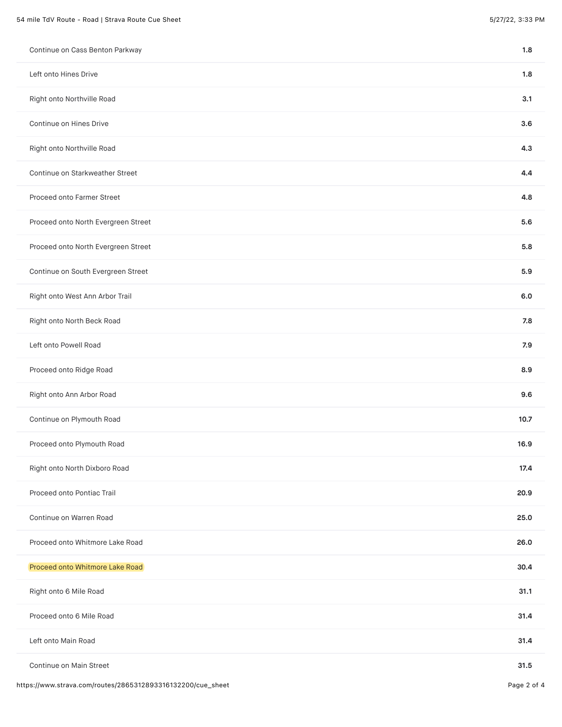| Continue on Cass Benton Parkway     | 1.8  |
|-------------------------------------|------|
| Left onto Hines Drive               | 1.8  |
| Right onto Northville Road          | 3.1  |
| Continue on Hines Drive             | 3.6  |
| Right onto Northville Road          | 4.3  |
| Continue on Starkweather Street     | 4.4  |
| Proceed onto Farmer Street          | 4.8  |
| Proceed onto North Evergreen Street | 5.6  |
| Proceed onto North Evergreen Street | 5.8  |
| Continue on South Evergreen Street  | 5.9  |
| Right onto West Ann Arbor Trail     | 6.0  |
| Right onto North Beck Road          | 7.8  |
| Left onto Powell Road               | 7.9  |
| Proceed onto Ridge Road             | 8.9  |
| Right onto Ann Arbor Road           | 9.6  |
| Continue on Plymouth Road           | 10.7 |
| Proceed onto Plymouth Road          | 16.9 |
| Right onto North Dixboro Road       | 17.4 |
| Proceed onto Pontiac Trail          | 20.9 |
| Continue on Warren Road             | 25.0 |
| Proceed onto Whitmore Lake Road     | 26.0 |
| Proceed onto Whitmore Lake Road     | 30.4 |
| Right onto 6 Mile Road              | 31.1 |
| Proceed onto 6 Mile Road            | 31.4 |
| Left onto Main Road                 | 31.4 |
| Continue on Main Street             | 31.5 |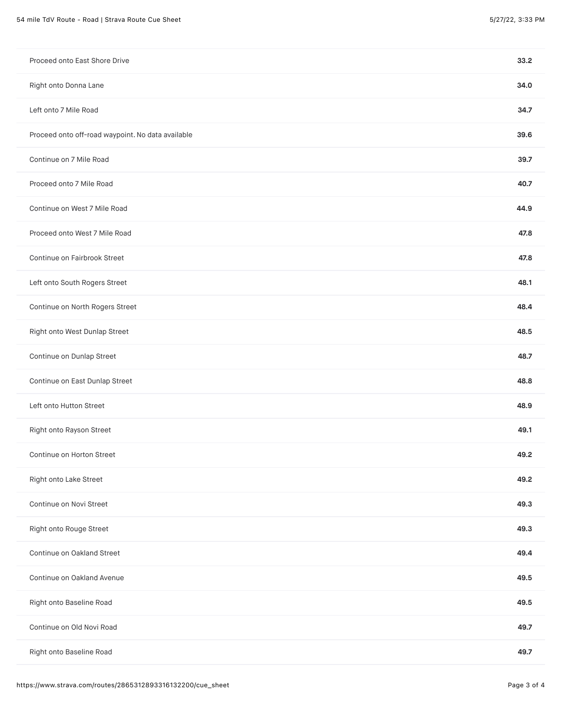| Proceed onto East Shore Drive                     | 33.2 |
|---------------------------------------------------|------|
| Right onto Donna Lane                             | 34.0 |
| Left onto 7 Mile Road                             | 34.7 |
| Proceed onto off-road waypoint. No data available | 39.6 |
| Continue on 7 Mile Road                           | 39.7 |
| Proceed onto 7 Mile Road                          | 40.7 |
| Continue on West 7 Mile Road                      | 44.9 |
| Proceed onto West 7 Mile Road                     | 47.8 |
| Continue on Fairbrook Street                      | 47.8 |
| Left onto South Rogers Street                     | 48.1 |
| Continue on North Rogers Street                   | 48.4 |
| Right onto West Dunlap Street                     | 48.5 |
| Continue on Dunlap Street                         | 48.7 |
| Continue on East Dunlap Street                    | 48.8 |
| Left onto Hutton Street                           | 48.9 |
| Right onto Rayson Street                          | 49.1 |
| Continue on Horton Street                         | 49.2 |
| Right onto Lake Street                            | 49.2 |
| Continue on Novi Street                           | 49.3 |
| Right onto Rouge Street                           | 49.3 |
| Continue on Oakland Street                        | 49.4 |
| Continue on Oakland Avenue                        | 49.5 |
| Right onto Baseline Road                          | 49.5 |
| Continue on Old Novi Road                         | 49.7 |
| Right onto Baseline Road                          | 49.7 |